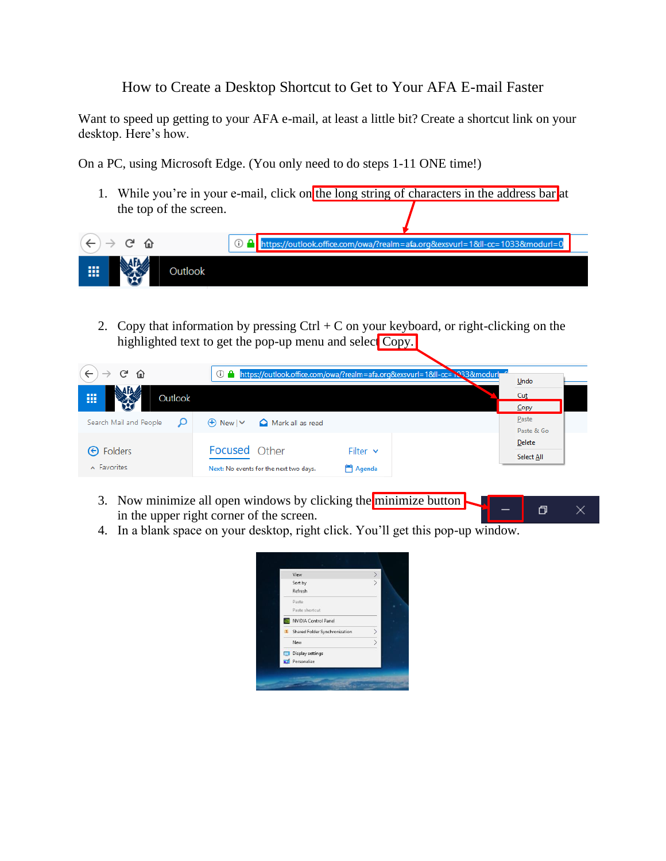## How to Create a Desktop Shortcut to Get to Your AFA E-mail Faster

Want to speed up getting to your AFA e-mail, at least a little bit? Create a shortcut link on your desktop. Here's how.

On a PC, using Microsoft Edge. (You only need to do steps 1-11 ONE time!)

1. While you're in your e-mail, click on the long string of characters in the address bar at the top of the screen.

|   | ps://outlook.office.com/owa/?realm=afa.org&exsvurl=1&Il-cc=1033&modurl=0 |
|---|--------------------------------------------------------------------------|
| 冊 |                                                                          |

2. Copy that information by pressing  $Ctrl + C$  on your keyboard, or right-clicking on the highlighted text to get the pop-up menu and select Copy.

| G<br>一企                | https://outlook.office.com/owa/?realm=afa.org&exsvurl=1&ll-cc=1338&modurl<br>G) | Undo                |
|------------------------|---------------------------------------------------------------------------------|---------------------|
| 冊<br>Outlook<br>Æ      |                                                                                 | Cut<br>Copy         |
| Search Mail and People | $\oplus$ New $\vee$<br>Mark all as read                                         | Paste<br>Paste & Go |
| <b>←</b> Folders       | <b>Focused</b> Other<br>Filter $\vee$                                           | Delete              |
| $\land$ Favorites      | Agenda<br>Next: No events for the next two days.                                | Select All          |

- 3. Now minimize all open windows by clicking the minimize button  $\Box$  $\times$ in the upper right corner of the screen.
- 4. In a blank space on your desktop, right click. You'll get this pop-up window.

| View                                                  | $\genfrac{}{}{0pt}{}{\rightarrow}{}$ |
|-------------------------------------------------------|--------------------------------------|
| Sort by                                               |                                      |
| Refresh                                               |                                      |
| Paste                                                 |                                      |
| Paste shortcut                                        |                                      |
| NVIDIA Control Panel                                  |                                      |
| $\boxed{\mathbf{s}}$<br>Shared Folder Synchronization | $\frac{1}{2}$                        |
| New                                                   |                                      |
| Display settings                                      |                                      |
| Personalize                                           |                                      |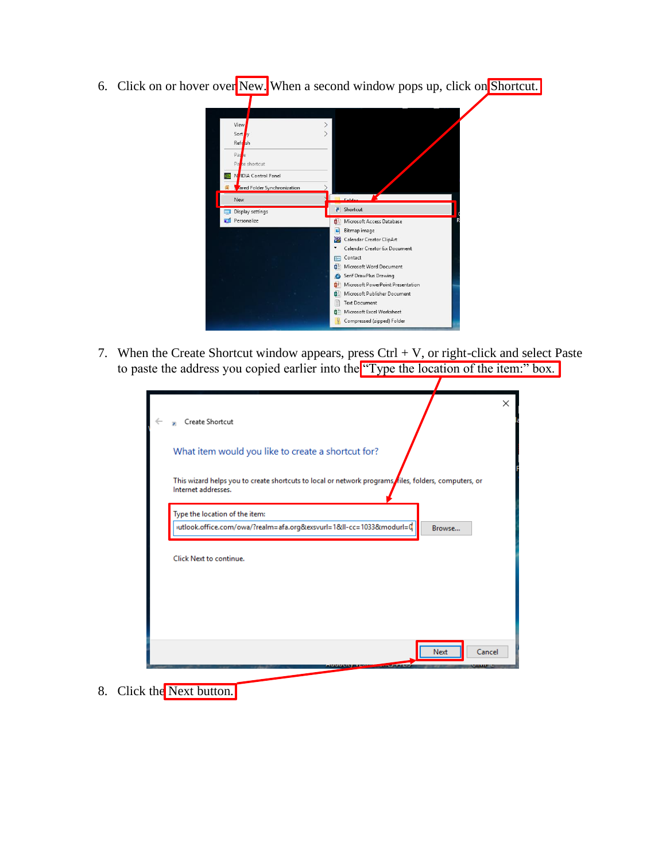6. Click on or hover over New. When a second window pops up, click on Shortcut.



7. When the Create Shortcut window appears, press Ctrl  $+$  V, or right-click and select Paste to paste the address you copied earlier into the "Type the location of the item:" box.

| ×<br>Create Shortcut<br>×                                                                                                   |
|-----------------------------------------------------------------------------------------------------------------------------|
| What item would you like to create a shortcut for?                                                                          |
| This wizard helps you to create shortcuts to local or network programs files, folders, computers, or<br>Internet addresses. |
| Type the location of the item:                                                                                              |
| utlook.office.com/owa/?realm=afa.org&exsvurl=1&II-cc=1033&modurl=0<br>Browse                                                |
| Click Next to continue.                                                                                                     |
|                                                                                                                             |

8. Click the Next button.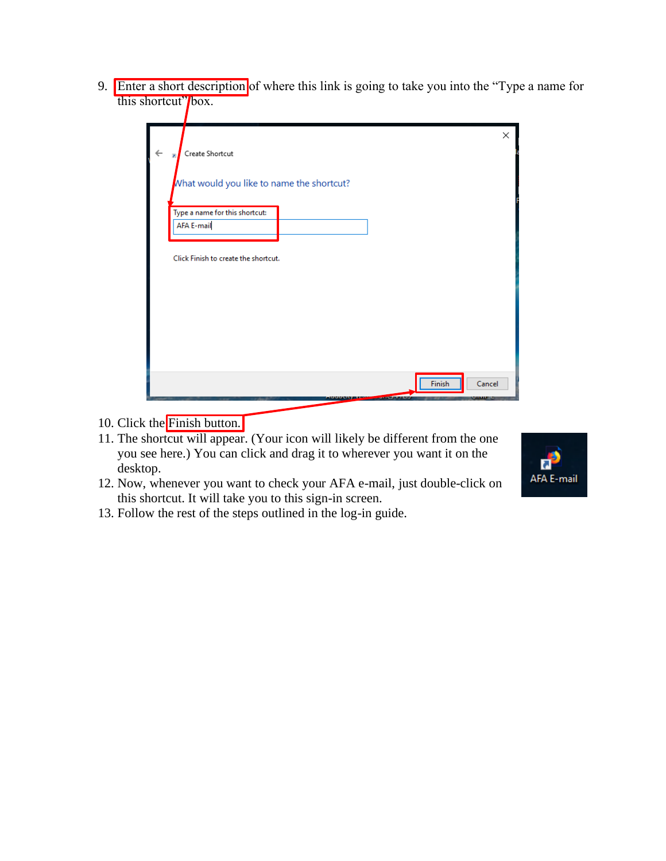9. Enter a short description of where this link is going to take you into the "Type a name for this shortcut" box.

|   |                                                 | X      |
|---|-------------------------------------------------|--------|
| n | Create Shortcut                                 |        |
|   | What would you like to name the shortcut?       |        |
|   | Type a name for this shortcut:                  |        |
|   | <b>AFA E-mail</b>                               |        |
|   |                                                 |        |
|   | Click Finish to create the shortcut.            |        |
|   |                                                 |        |
|   |                                                 |        |
|   |                                                 |        |
|   |                                                 |        |
|   |                                                 |        |
|   |                                                 |        |
|   | Finish<br><b>STATISTICS</b><br>----------<br>v. | Cancel |

- 10. Click the Finish button.
- 11. The shortcut will appear. (Your icon will likely be different from the one you see here.) You can click and drag it to wherever you want it on the desktop.
- 12. Now, whenever you want to check your AFA e-mail, just double-click on this shortcut. It will take you to this sign-in screen.
- 13. Follow the rest of the steps outlined in the log-in guide.

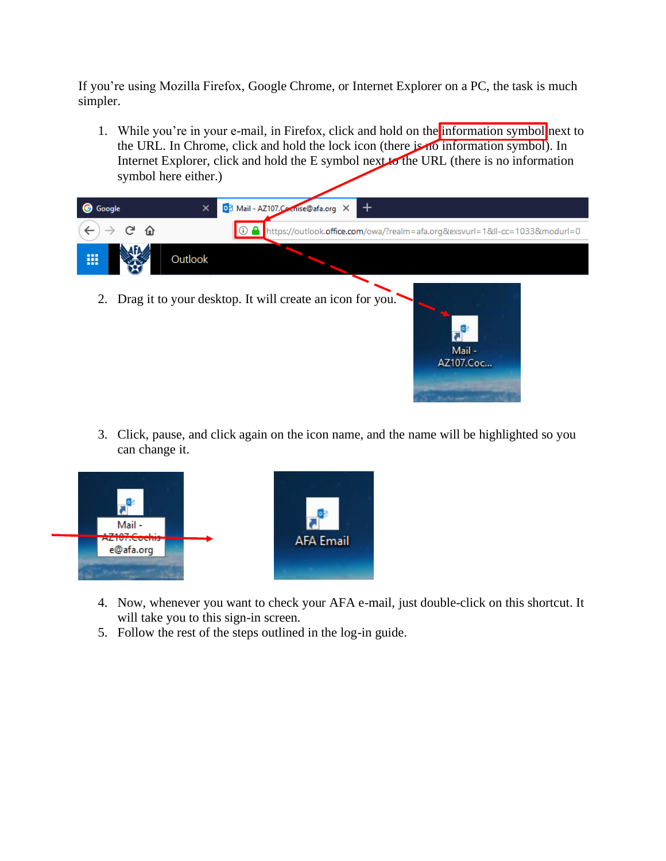If you're using Mozilla Firefox, Google Chrome, or Internet Explorer on a PC, the task is much simpler.

1. While you're in your e-mail, in Firefox, click and hold on the information symbol next to the URL. In Chrome, click and hold the lock icon (there is no information symbol). In Internet Explorer, click and hold the E symbol next to the URL (there is no information symbol here either.)



3. Click, pause, and click again on the icon name, and the name will be highlighted so you can change it.

Mail-AZ107.Coc...



- 4. Now, whenever you want to check your AFA e-mail, just double-click on this shortcut. It will take you to this sign-in screen.
- 5. Follow the rest of the steps outlined in the log-in guide.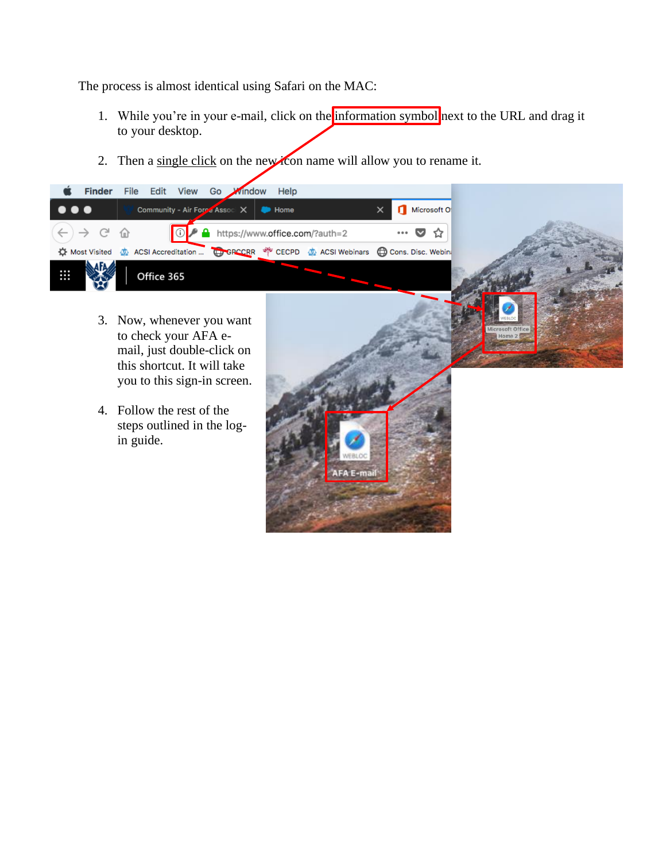The process is almost identical using Safari on the MAC:

- 1. While you're in your e-mail, click on the information symbol next to the URL and drag it to your desktop.
- 2. Then a single click on the new idea name will allow you to rename it.



- 3. Now, whenever you want to check your AFA email, just double-click on this shortcut. It will take you to this sign-in screen.
- 4. Follow the rest of the steps outlined in the login guide.